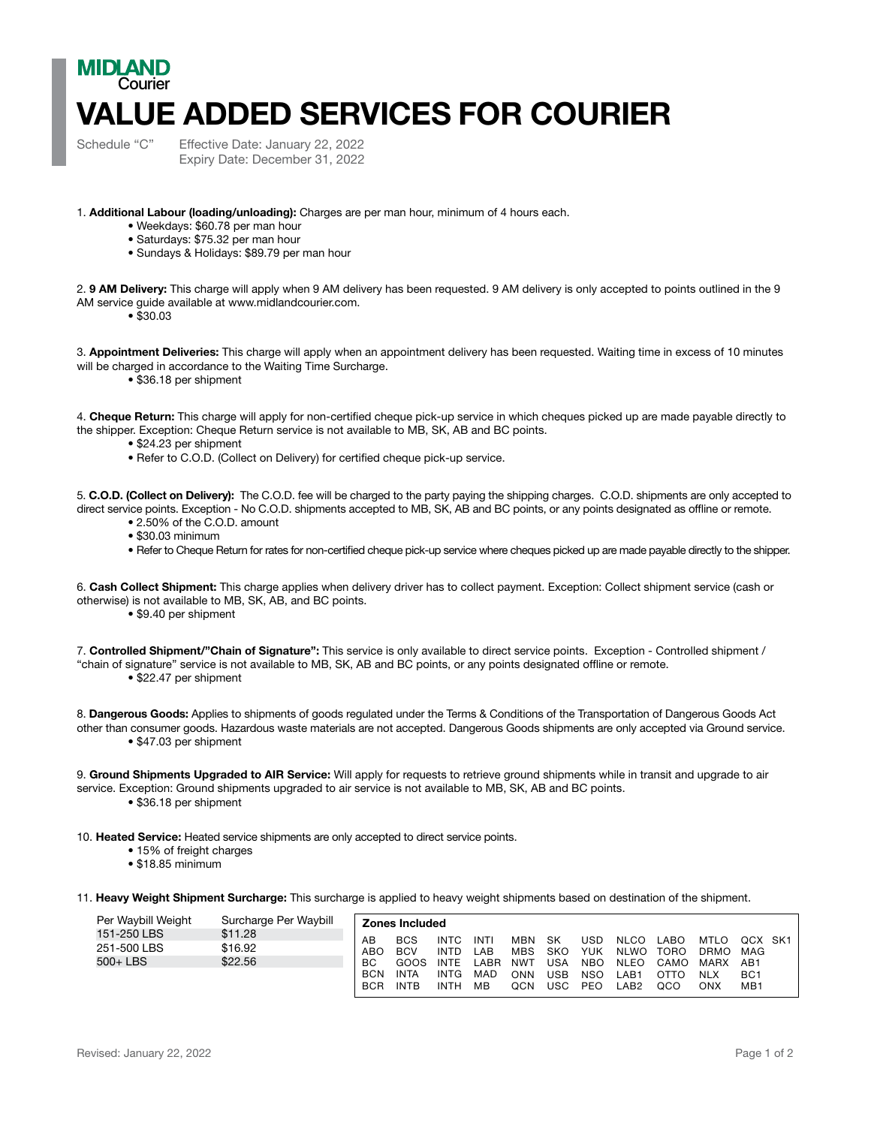## MIDI AND Courier VALUE ADDED SERVICES FOR COURIER

Schedule "C" Effective Date: January 22, 2022 Expiry Date: December 31, 2022

1. Additional Labour (loading/unloading): Charges are per man hour, minimum of 4 hours each.

- Weekdays: \$60.78 per man hour
- Saturdays: \$75.32 per man hour
- Sundays & Holidays: \$89.79 per man hour

2. 9 AM Delivery: This charge will apply when 9 AM delivery has been requested. 9 AM delivery is only accepted to points outlined in the 9 AM service guide available at www.midlandcourier.com.

• \$30.03

3. Appointment Deliveries: This charge will apply when an appointment delivery has been requested. Waiting time in excess of 10 minutes will be charged in accordance to the Waiting Time Surcharge.

• \$36.18 per shipment

4. Cheque Return: This charge will apply for non-certified cheque pick-up service in which cheques picked up are made payable directly to the shipper. Exception: Cheque Return service is not available to MB, SK, AB and BC points.

- \$24.23 per shipment
- Refer to C.O.D. (Collect on Delivery) for certified cheque pick-up service.

5. C.O.D. (Collect on Delivery): The C.O.D. fee will be charged to the party paying the shipping charges. C.O.D. shipments are only accepted to direct service points. Exception - No C.O.D. shipments accepted to MB, SK, AB and BC points, or any points designated as offline or remote.

- 2.50% of the C.O.D. amount
- \$30.03 minimum
- Refer to Cheque Return for rates for non-certified cheque pick-up service where cheques picked up are made payable directly to the shipper.

6. Cash Collect Shipment: This charge applies when delivery driver has to collect payment. Exception: Collect shipment service (cash or otherwise) is not available to MB, SK, AB, and BC points.

• \$9.40 per shipment

7. Controlled Shipment/"Chain of Signature": This service is only available to direct service points. Exception - Controlled shipment / "chain of signature" service is not available to MB, SK, AB and BC points, or any points designated offline or remote. • \$22.47 per shipment

8. Dangerous Goods: Applies to shipments of goods regulated under the Terms & Conditions of the Transportation of Dangerous Goods Act other than consumer goods. Hazardous waste materials are not accepted. Dangerous Goods shipments are only accepted via Ground service.

• \$47.03 per shipment

9. Ground Shipments Upgraded to AIR Service: Will apply for requests to retrieve ground shipments while in transit and upgrade to air service. Exception: Ground shipments upgraded to air service is not available to MB, SK, AB and BC points. • \$36.18 per shipment

- 10. Heated Service: Heated service shipments are only accepted to direct service points.
	- 15% of freight charges
	- \$18.85 minimum

11. Heavy Weight Shipment Surcharge: This surcharge is applied to heavy weight shipments based on destination of the shipment.

| Per Waybill Weight | Surcharge Per Waybill | <b>Zones Included</b> |             |             |      |            |            |            |             |      |             |                 |  |
|--------------------|-----------------------|-----------------------|-------------|-------------|------|------------|------------|------------|-------------|------|-------------|-----------------|--|
| 151-250 LBS        | \$11.28               | AB                    | <b>BCS</b>  | <b>INTC</b> | INTI | <b>MBN</b> | <b>SK</b>  | USD        | <b>NLCO</b> | _ABO | <b>MTLO</b> | OCX SK1         |  |
| 251-500 LBS        | \$16.92               | ABO                   | <b>BCV</b>  | <b>INTD</b> | LAB  | <b>MBS</b> | <b>SKO</b> | YUK        | <b>NLWO</b> | TORO | DRMO        | MAG             |  |
| 500+ LBS           | \$22.56               | <b>BC</b>             | GOOS        | <b>INTE</b> | LABR | <b>NWT</b> | USA        | <b>NBO</b> | <b>NLEO</b> | CAMO | <b>MARX</b> | AB1             |  |
|                    |                       | <b>BCN</b>            | <b>INTA</b> | <b>INTG</b> | MAD  | ONN        | USB        | <b>NSO</b> | _AB1        | ΩΤΤΩ | <b>NLX</b>  | BC <sub>1</sub> |  |
|                    |                       | <b>BCR</b>            | <b>INTB</b> | <b>INTH</b> | MВ   | QCN        | JSC.       | PEO        | AB2.        | QCO  | ONX         | MB <sub>1</sub> |  |